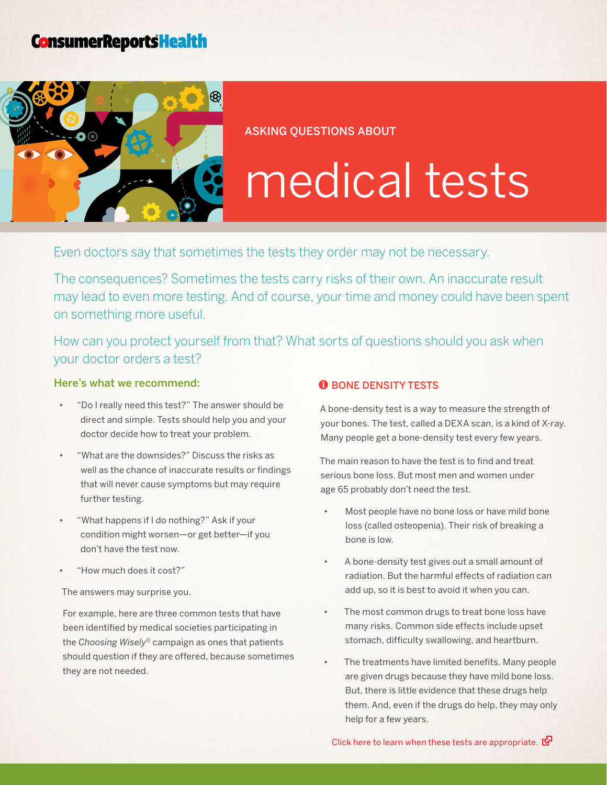# **ConsumerReportsHealth**



Asking questions about

# medical tests

Even doctors say that sometimes the tests they order may not be necessary.

The consequences? Sometimes the tests carry risks of their own. An inaccurate result may lead to even more testing. And of course, your time and money could have been spent on something more useful.

How can you protect yourself from that? What sorts of questions should you ask when your doctor orders a test?

## Here's what we recommend:

- "Do I really need this test?" The answer should be direct and simple. Tests should help you and your doctor decide how to treat your problem.
- "What are the downsides?" Discuss the risks as well as the chance of inaccurate results or findings that will never cause symptoms but may require further testing.
- • "What happens if I do nothing?" Ask if your condition might worsen—or get better—if you don't have the test now.
- "How much does it cost?"

The answers may surprise you.

For example, here are three common tests that have been identified by medical societies participating in the *Choosing Wisely*® campaign as ones that patients should question if they are offered, because sometimes they are not needed.

#### **O** BONE DENSITY TESTS

A bone-density test is a way to measure the strength of your bones. The test, called a DEXA scan, is a kind of X-ray. Many people get a bone-density test every few years.

The main reason to have the test is to find and treat serious bone loss. But most men and women under age 65 probably don't need the test.

- Most people have no bone loss or have mild bone loss (called osteopenia). Their risk of breaking a bone is low.
- A bone-density test gives out a small amount of radiation. But the harmful effects of radiation can add up, so it is best to avoid it when you can.
- The most common drugs to treat bone loss have many risks. Common side effects include upset stomach, difficulty swallowing, and heartburn.
- The treatments have limited benefits. Many people are given drugs because they have mild bone loss. But, there is little evidence that these drugs help them. And, even if the drugs do help, they may only help for a few years.

Click here to learn when these tests are [appropriate.](http://consumerhealthchoices.org/wp-content/uploads/2012/05/ChoosingWiselyBoneDensityAAFP.pdf)  $\mathbb{Z}^{\square}$